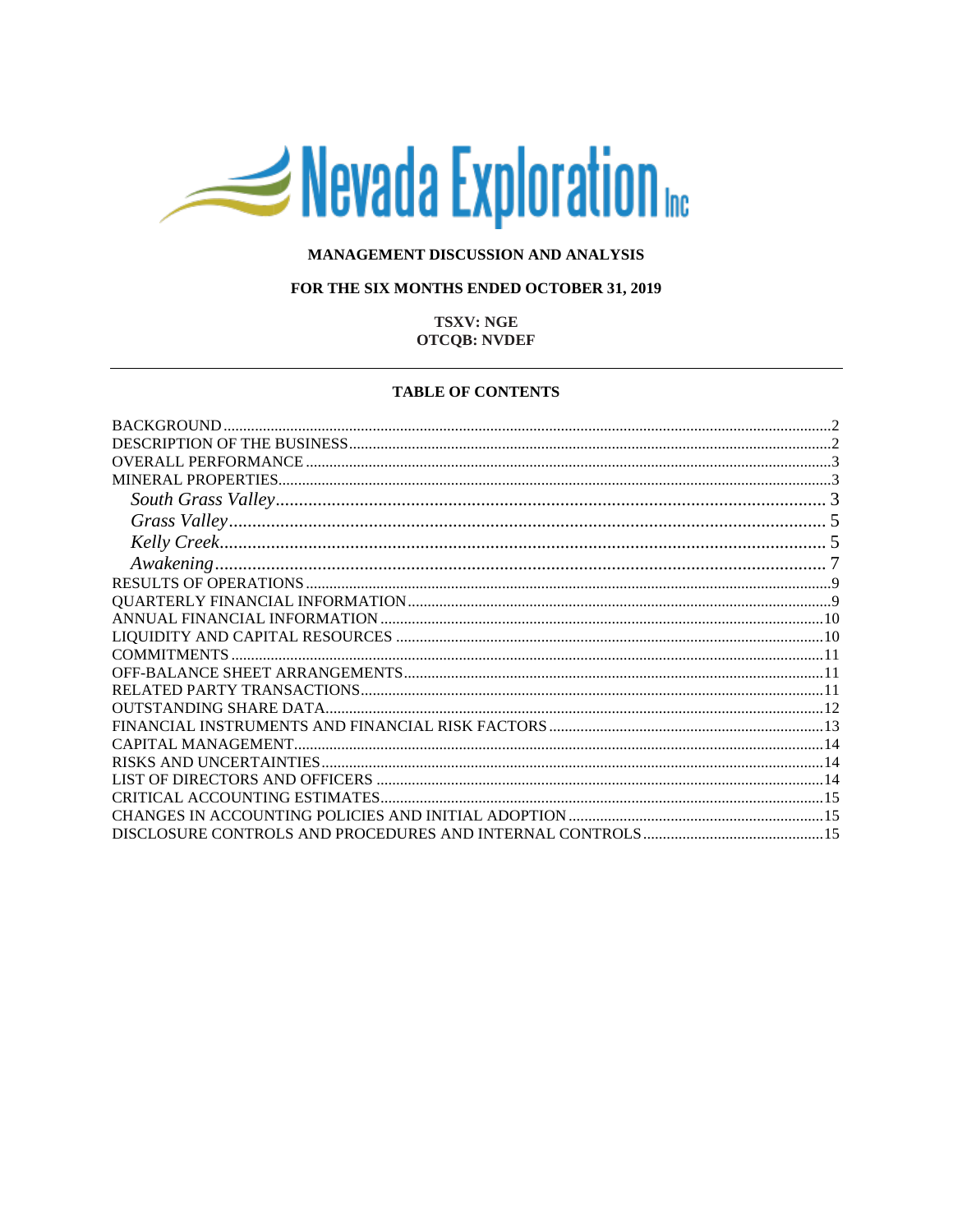# Nevada Exploration

## MANAGEMENT DISCUSSION AND ANALYSIS

#### FOR THE SIX MONTHS ENDED OCTOBER 31, 2019

## **TSXV: NGE OTCQB: NVDEF**

#### **TABLE OF CONTENTS**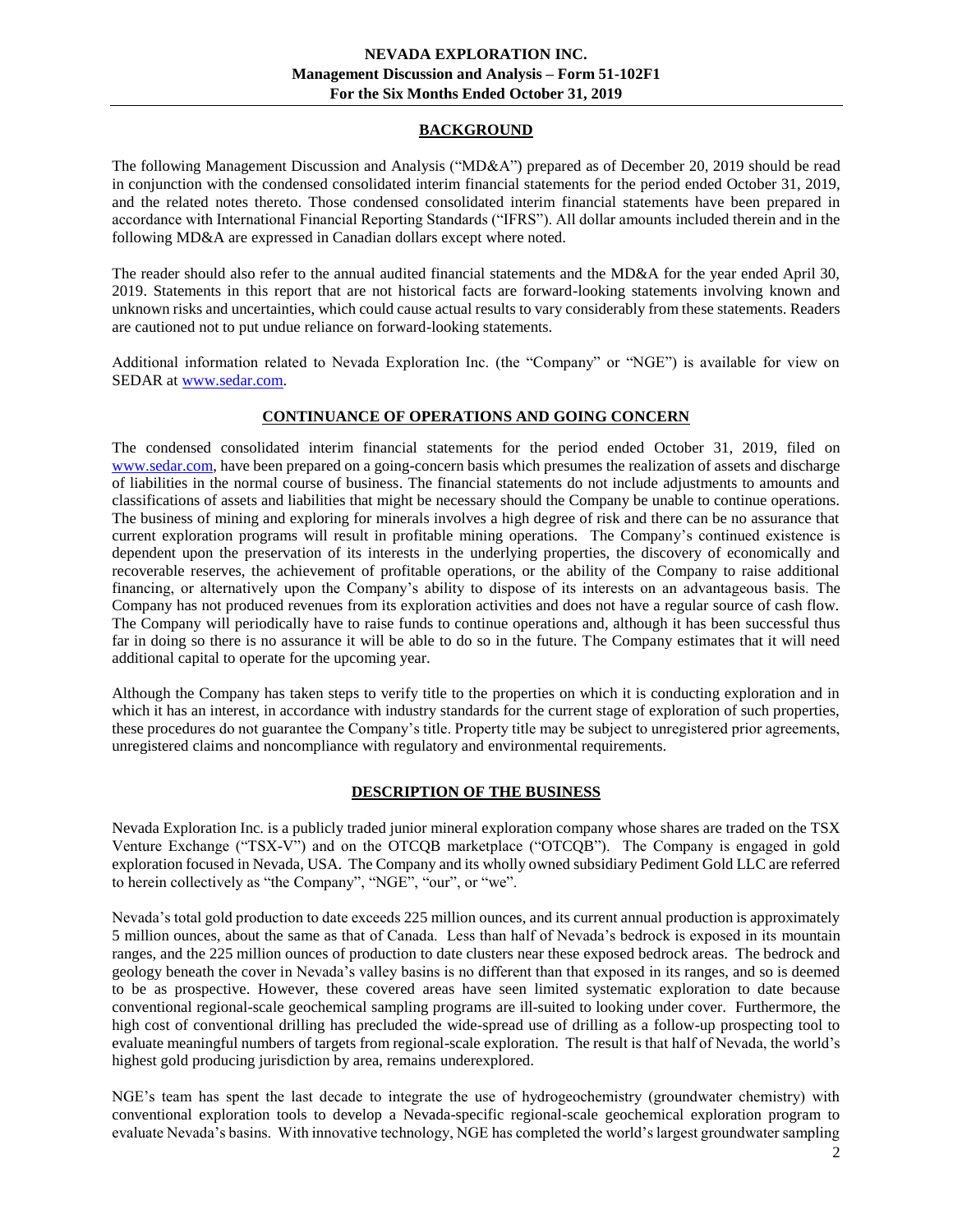## **BACKGROUND**

<span id="page-1-0"></span>The following Management Discussion and Analysis ("MD&A") prepared as of December 20, 2019 should be read in conjunction with the condensed consolidated interim financial statements for the period ended October 31, 2019, and the related notes thereto. Those condensed consolidated interim financial statements have been prepared in accordance with International Financial Reporting Standards ("IFRS"). All dollar amounts included therein and in the following MD&A are expressed in Canadian dollars except where noted.

The reader should also refer to the annual audited financial statements and the MD&A for the year ended April 30, 2019. Statements in this report that are not historical facts are forward-looking statements involving known and unknown risks and uncertainties, which could cause actual results to vary considerably from these statements. Readers are cautioned not to put undue reliance on forward-looking statements.

Additional information related to Nevada Exploration Inc. (the "Company" or "NGE") is available for view on SEDAR at [www.sedar.com.](http://www.sedar.com/)

## **CONTINUANCE OF OPERATIONS AND GOING CONCERN**

The condensed consolidated interim financial statements for the period ended October 31, 2019, filed on [www.sedar.com,](http://www.sedar.com/) have been prepared on a going-concern basis which presumes the realization of assets and discharge of liabilities in the normal course of business. The financial statements do not include adjustments to amounts and classifications of assets and liabilities that might be necessary should the Company be unable to continue operations. The business of mining and exploring for minerals involves a high degree of risk and there can be no assurance that current exploration programs will result in profitable mining operations. The Company's continued existence is dependent upon the preservation of its interests in the underlying properties, the discovery of economically and recoverable reserves, the achievement of profitable operations, or the ability of the Company to raise additional financing, or alternatively upon the Company's ability to dispose of its interests on an advantageous basis. The Company has not produced revenues from its exploration activities and does not have a regular source of cash flow. The Company will periodically have to raise funds to continue operations and, although it has been successful thus far in doing so there is no assurance it will be able to do so in the future. The Company estimates that it will need additional capital to operate for the upcoming year.

Although the Company has taken steps to verify title to the properties on which it is conducting exploration and in which it has an interest, in accordance with industry standards for the current stage of exploration of such properties, these procedures do not guarantee the Company's title. Property title may be subject to unregistered prior agreements, unregistered claims and noncompliance with regulatory and environmental requirements.

## **DESCRIPTION OF THE BUSINESS**

<span id="page-1-1"></span>Nevada Exploration Inc. is a publicly traded junior mineral exploration company whose shares are traded on the TSX Venture Exchange ("TSX-V") and on the OTCQB marketplace ("OTCQB"). The Company is engaged in gold exploration focused in Nevada, USA. The Company and its wholly owned subsidiary Pediment Gold LLC are referred to herein collectively as "the Company", "NGE", "our", or "we".

Nevada's total gold production to date exceeds 225 million ounces, and its current annual production is approximately 5 million ounces, about the same as that of Canada. Less than half of Nevada's bedrock is exposed in its mountain ranges, and the 225 million ounces of production to date clusters near these exposed bedrock areas. The bedrock and geology beneath the cover in Nevada's valley basins is no different than that exposed in its ranges, and so is deemed to be as prospective. However, these covered areas have seen limited systematic exploration to date because conventional regional-scale geochemical sampling programs are ill-suited to looking under cover. Furthermore, the high cost of conventional drilling has precluded the wide-spread use of drilling as a follow-up prospecting tool to evaluate meaningful numbers of targets from regional-scale exploration. The result is that half of Nevada, the world's highest gold producing jurisdiction by area, remains underexplored.

NGE's team has spent the last decade to integrate the use of hydrogeochemistry (groundwater chemistry) with conventional exploration tools to develop a Nevada-specific regional-scale geochemical exploration program to evaluate Nevada's basins. With innovative technology, NGE has completed the world's largest groundwater sampling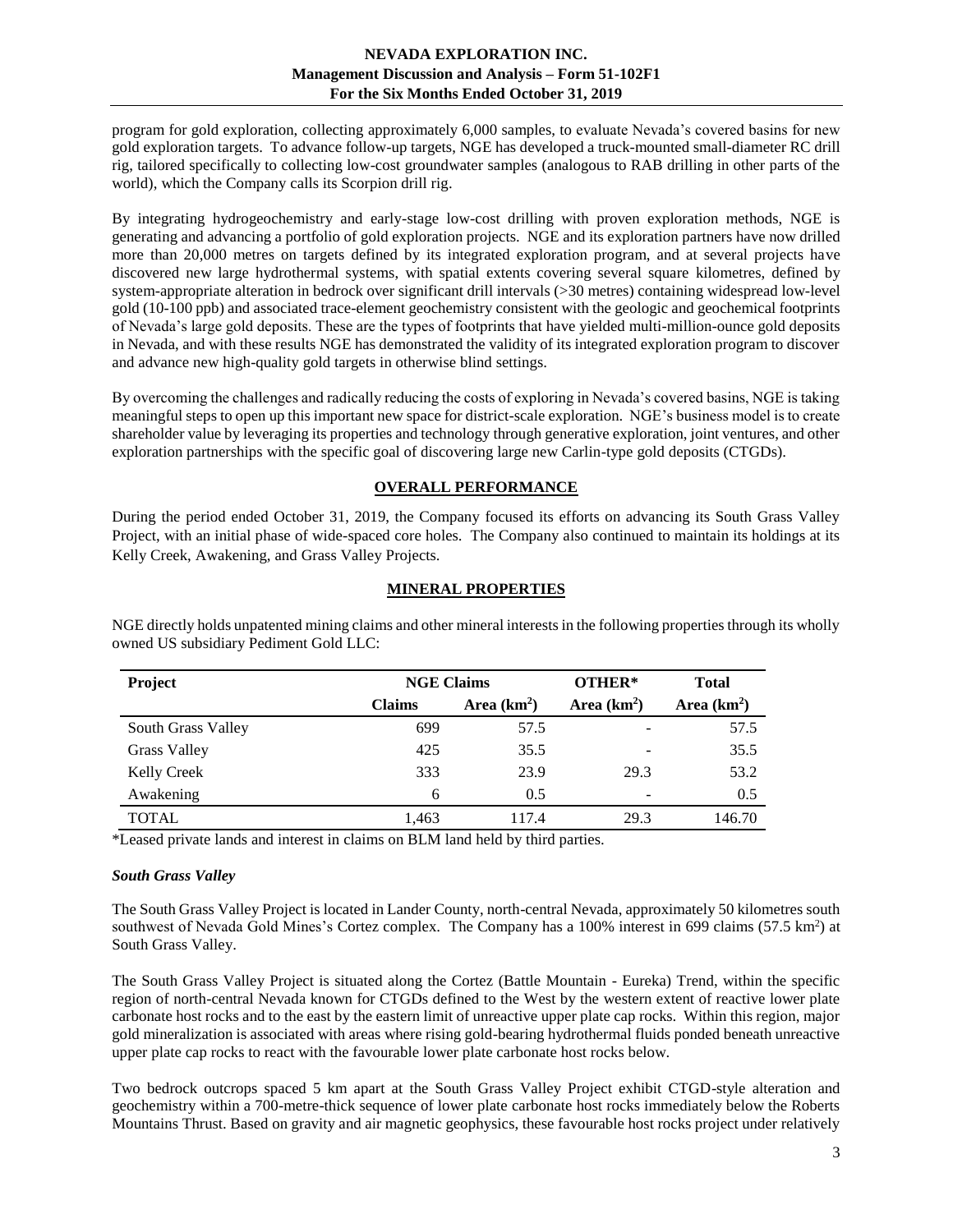program for gold exploration, collecting approximately 6,000 samples, to evaluate Nevada's covered basins for new gold exploration targets. To advance follow-up targets, NGE has developed a truck-mounted small-diameter RC drill rig, tailored specifically to collecting low-cost groundwater samples (analogous to RAB drilling in other parts of the world), which the Company calls its Scorpion drill rig.

By integrating hydrogeochemistry and early-stage low-cost drilling with proven exploration methods, NGE is generating and advancing a portfolio of gold exploration projects. NGE and its exploration partners have now drilled more than 20,000 metres on targets defined by its integrated exploration program, and at several projects have discovered new large hydrothermal systems, with spatial extents covering several square kilometres, defined by system-appropriate alteration in bedrock over significant drill intervals (>30 metres) containing widespread low-level gold (10-100 ppb) and associated trace-element geochemistry consistent with the geologic and geochemical footprints of Nevada's large gold deposits. These are the types of footprints that have yielded multi-million-ounce gold deposits in Nevada, and with these results NGE has demonstrated the validity of its integrated exploration program to discover and advance new high-quality gold targets in otherwise blind settings.

By overcoming the challenges and radically reducing the costs of exploring in Nevada's covered basins, NGE is taking meaningful steps to open up this important new space for district-scale exploration. NGE's business model is to create shareholder value by leveraging its properties and technology through generative exploration, joint ventures, and other exploration partnerships with the specific goal of discovering large new Carlin-type gold deposits (CTGDs).

# **OVERALL PERFORMANCE**

<span id="page-2-0"></span>During the period ended October 31, 2019, the Company focused its efforts on advancing its South Grass Valley Project, with an initial phase of wide-spaced core holes. The Company also continued to maintain its holdings at its Kelly Creek, Awakening, and Grass Valley Projects.

## **MINERAL PROPERTIES**

| Project             | <b>NGE Claims</b> |              | OTHER*       | <b>Total</b>  |
|---------------------|-------------------|--------------|--------------|---------------|
|                     | <b>Claims</b>     | Area $(km2)$ | Area $(km2)$ | Area $(km2)$  |
| South Grass Valley  | 699               | 57.5         |              | 57.5          |
| <b>Grass Valley</b> | 425               | 35.5         |              | 35.5          |
| <b>Kelly Creek</b>  | 333               | 23.9         | 29.3         | 53.2          |
| Awakening           | 6                 | 0.5          |              | $0.5^{\circ}$ |
| <b>TOTAL</b>        | 1,463             | 117.4        | 29.3         | 146.70        |

<span id="page-2-1"></span>NGE directly holds unpatented mining claims and other mineral interests in the following properties through its wholly owned US subsidiary Pediment Gold LLC:

\*Leased private lands and interest in claims on BLM land held by third parties.

## <span id="page-2-2"></span>*South Grass Valley*

The South Grass Valley Project is located in Lander County, north-central Nevada, approximately 50 kilometres south southwest of Nevada Gold Mines's Cortez complex. The Company has a 100% interest in 699 claims (57.5 km<sup>2</sup>) at South Grass Valley.

The South Grass Valley Project is situated along the Cortez (Battle Mountain - Eureka) Trend, within the specific region of north-central Nevada known for CTGDs defined to the West by the western extent of reactive lower plate carbonate host rocks and to the east by the eastern limit of unreactive upper plate cap rocks. Within this region, major gold mineralization is associated with areas where rising gold-bearing hydrothermal fluids ponded beneath unreactive upper plate cap rocks to react with the favourable lower plate carbonate host rocks below.

Two bedrock outcrops spaced 5 km apart at the South Grass Valley Project exhibit CTGD-style alteration and geochemistry within a 700-metre-thick sequence of lower plate carbonate host rocks immediately below the Roberts Mountains Thrust. Based on gravity and air magnetic geophysics, these favourable host rocks project under relatively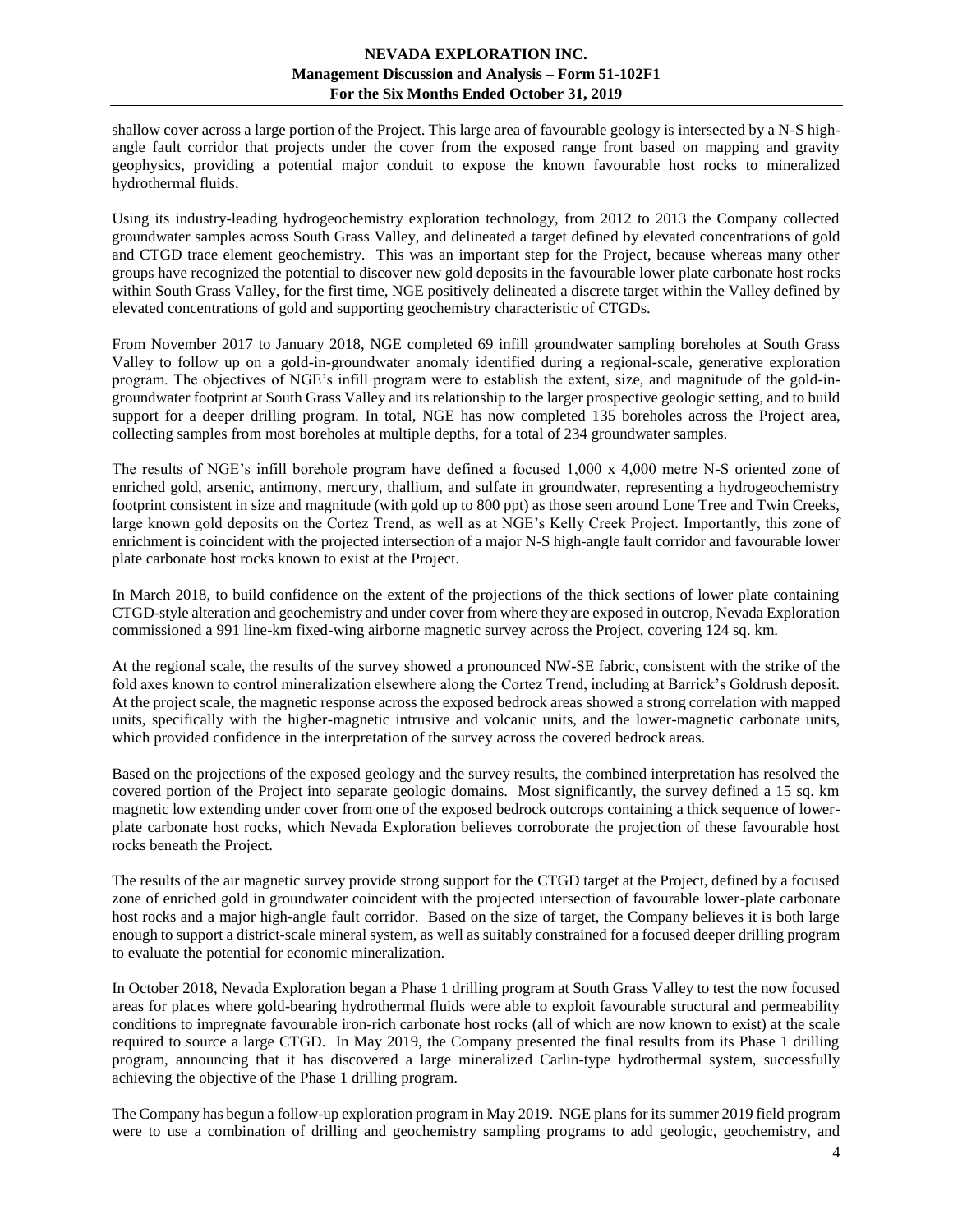shallow cover across a large portion of the Project. This large area of favourable geology is intersected by a N-S highangle fault corridor that projects under the cover from the exposed range front based on mapping and gravity geophysics, providing a potential major conduit to expose the known favourable host rocks to mineralized hydrothermal fluids.

Using its industry-leading hydrogeochemistry exploration technology, from 2012 to 2013 the Company collected groundwater samples across South Grass Valley, and delineated a target defined by elevated concentrations of gold and CTGD trace element geochemistry. This was an important step for the Project, because whereas many other groups have recognized the potential to discover new gold deposits in the favourable lower plate carbonate host rocks within South Grass Valley, for the first time, NGE positively delineated a discrete target within the Valley defined by elevated concentrations of gold and supporting geochemistry characteristic of CTGDs.

From November 2017 to January 2018, NGE completed 69 infill groundwater sampling boreholes at South Grass Valley to follow up on a gold-in-groundwater anomaly identified during a regional-scale, generative exploration program. The objectives of NGE's infill program were to establish the extent, size, and magnitude of the gold-ingroundwater footprint at South Grass Valley and its relationship to the larger prospective geologic setting, and to build support for a deeper drilling program. In total, NGE has now completed 135 boreholes across the Project area, collecting samples from most boreholes at multiple depths, for a total of 234 groundwater samples.

The results of NGE's infill borehole program have defined a focused 1,000 x 4,000 metre N-S oriented zone of enriched gold, arsenic, antimony, mercury, thallium, and sulfate in groundwater, representing a hydrogeochemistry footprint consistent in size and magnitude (with gold up to 800 ppt) as those seen around Lone Tree and Twin Creeks, large known gold deposits on the Cortez Trend, as well as at NGE's Kelly Creek Project. Importantly, this zone of enrichment is coincident with the projected intersection of a major N-S high-angle fault corridor and favourable lower plate carbonate host rocks known to exist at the Project.

In March 2018, to build confidence on the extent of the projections of the thick sections of lower plate containing CTGD-style alteration and geochemistry and under cover from where they are exposed in outcrop, Nevada Exploration commissioned a 991 line-km fixed-wing airborne magnetic survey across the Project, covering 124 sq. km.

At the regional scale, the results of the survey showed a pronounced NW-SE fabric, consistent with the strike of the fold axes known to control mineralization elsewhere along the Cortez Trend, including at Barrick's Goldrush deposit. At the project scale, the magnetic response across the exposed bedrock areas showed a strong correlation with mapped units, specifically with the higher-magnetic intrusive and volcanic units, and the lower-magnetic carbonate units, which provided confidence in the interpretation of the survey across the covered bedrock areas.

Based on the projections of the exposed geology and the survey results, the combined interpretation has resolved the covered portion of the Project into separate geologic domains. Most significantly, the survey defined a 15 sq. km magnetic low extending under cover from one of the exposed bedrock outcrops containing a thick sequence of lowerplate carbonate host rocks, which Nevada Exploration believes corroborate the projection of these favourable host rocks beneath the Project.

The results of the air magnetic survey provide strong support for the CTGD target at the Project, defined by a focused zone of enriched gold in groundwater coincident with the projected intersection of favourable lower-plate carbonate host rocks and a major high-angle fault corridor. Based on the size of target, the Company believes it is both large enough to support a district-scale mineral system, as well as suitably constrained for a focused deeper drilling program to evaluate the potential for economic mineralization.

In October 2018, Nevada Exploration began a Phase 1 drilling program at South Grass Valley to test the now focused areas for places where gold-bearing hydrothermal fluids were able to exploit favourable structural and permeability conditions to impregnate favourable iron-rich carbonate host rocks (all of which are now known to exist) at the scale required to source a large CTGD. In May 2019, the Company presented the final results from its Phase 1 drilling program, announcing that it has discovered a large mineralized Carlin-type hydrothermal system, successfully achieving the objective of the Phase 1 drilling program.

The Company has begun a follow-up exploration program in May 2019. NGE plans for its summer 2019 field program were to use a combination of drilling and geochemistry sampling programs to add geologic, geochemistry, and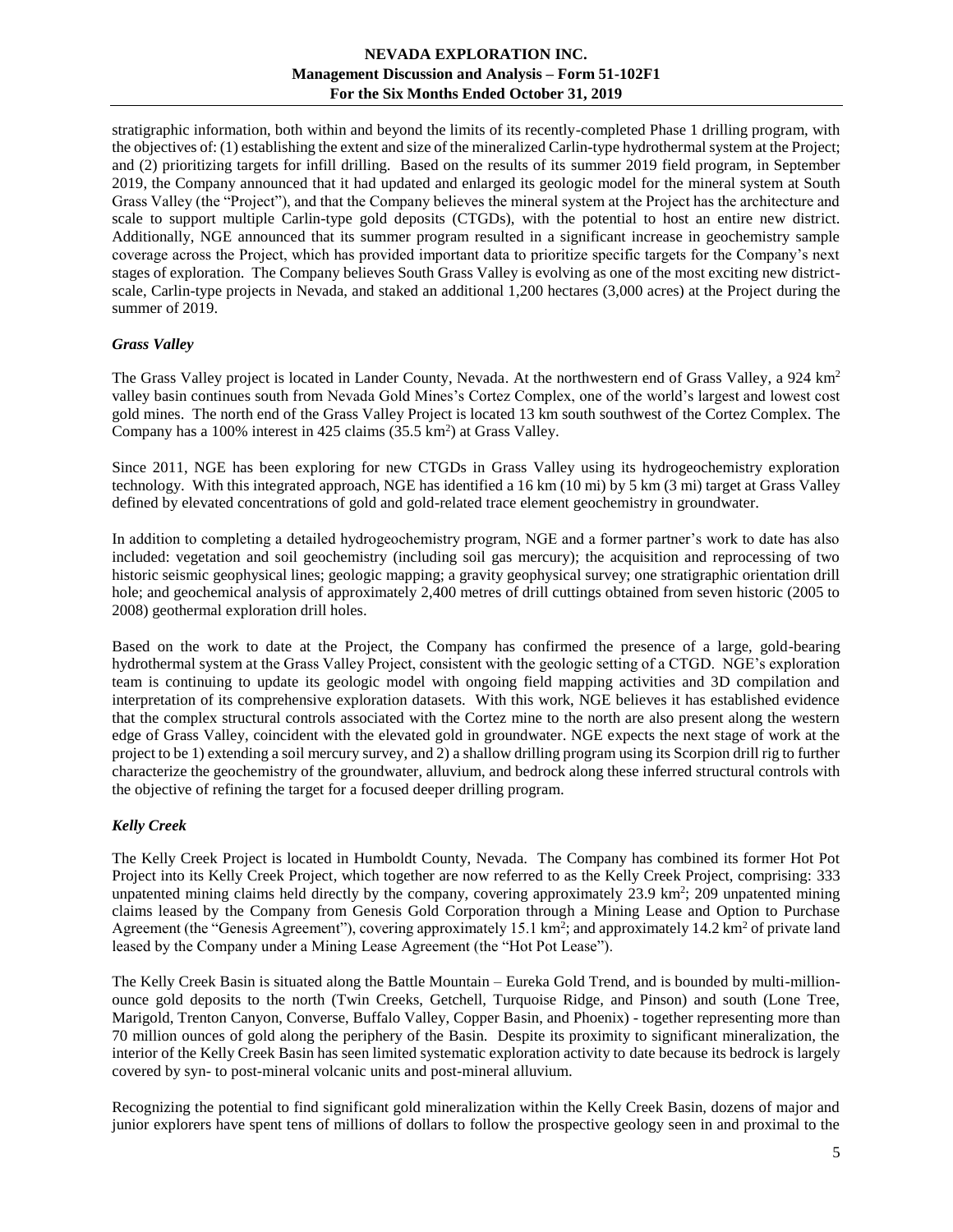stratigraphic information, both within and beyond the limits of its recently-completed Phase 1 drilling program, with the objectives of: (1) establishing the extent and size of the mineralized Carlin-type hydrothermal system at the Project; and (2) prioritizing targets for infill drilling. Based on the results of its summer 2019 field program, in September 2019, the Company announced that it had updated and enlarged its geologic model for the mineral system at South Grass Valley (the "Project"), and that the Company believes the mineral system at the Project has the architecture and scale to support multiple Carlin-type gold deposits (CTGDs), with the potential to host an entire new district. Additionally, NGE announced that its summer program resulted in a significant increase in geochemistry sample coverage across the Project, which has provided important data to prioritize specific targets for the Company's next stages of exploration. The Company believes South Grass Valley is evolving as one of the most exciting new districtscale, Carlin-type projects in Nevada, and staked an additional 1,200 hectares (3,000 acres) at the Project during the summer of 2019.

## <span id="page-4-0"></span>*Grass Valley*

The Grass Valley project is located in Lander County, Nevada. At the northwestern end of Grass Valley, a 924 km<sup>2</sup> valley basin continues south from Nevada Gold Mines's Cortez Complex, one of the world's largest and lowest cost gold mines. The north end of the Grass Valley Project is located 13 km south southwest of the Cortez Complex. The Company has a 100% interest in 425 claims  $(35.5 \text{ km}^2)$  at Grass Valley.

Since 2011, NGE has been exploring for new CTGDs in Grass Valley using its hydrogeochemistry exploration technology. With this integrated approach, NGE has identified a 16 km (10 mi) by 5 km (3 mi) target at Grass Valley defined by elevated concentrations of gold and gold-related trace element geochemistry in groundwater.

In addition to completing a detailed hydrogeochemistry program, NGE and a former partner's work to date has also included: vegetation and soil geochemistry (including soil gas mercury); the acquisition and reprocessing of two historic seismic geophysical lines; geologic mapping; a gravity geophysical survey; one stratigraphic orientation drill hole; and geochemical analysis of approximately 2,400 metres of drill cuttings obtained from seven historic (2005 to 2008) geothermal exploration drill holes.

Based on the work to date at the Project, the Company has confirmed the presence of a large, gold-bearing hydrothermal system at the Grass Valley Project, consistent with the geologic setting of a CTGD. NGE's exploration team is continuing to update its geologic model with ongoing field mapping activities and 3D compilation and interpretation of its comprehensive exploration datasets. With this work, NGE believes it has established evidence that the complex structural controls associated with the Cortez mine to the north are also present along the western edge of Grass Valley, coincident with the elevated gold in groundwater. NGE expects the next stage of work at the project to be 1) extending a soil mercury survey, and 2) a shallow drilling program using its Scorpion drill rig to further characterize the geochemistry of the groundwater, alluvium, and bedrock along these inferred structural controls with the objective of refining the target for a focused deeper drilling program.

## <span id="page-4-1"></span>*Kelly Creek*

The Kelly Creek Project is located in Humboldt County, Nevada. The Company has combined its former Hot Pot Project into its Kelly Creek Project, which together are now referred to as the Kelly Creek Project, comprising: 333 unpatented mining claims held directly by the company, covering approximately  $23.9 \text{ km}^2$ ;  $209 \text{ unpatented mining}$ claims leased by the Company from Genesis Gold Corporation through a Mining Lease and Option to Purchase Agreement (the "Genesis Agreement"), covering approximately 15.1 km<sup>2</sup>; and approximately 14.2 km<sup>2</sup> of private land leased by the Company under a Mining Lease Agreement (the "Hot Pot Lease").

The Kelly Creek Basin is situated along the Battle Mountain – Eureka Gold Trend, and is bounded by multi-millionounce gold deposits to the north (Twin Creeks, Getchell, Turquoise Ridge, and Pinson) and south (Lone Tree, Marigold, Trenton Canyon, Converse, Buffalo Valley, Copper Basin, and Phoenix) - together representing more than 70 million ounces of gold along the periphery of the Basin. Despite its proximity to significant mineralization, the interior of the Kelly Creek Basin has seen limited systematic exploration activity to date because its bedrock is largely covered by syn- to post-mineral volcanic units and post-mineral alluvium.

Recognizing the potential to find significant gold mineralization within the Kelly Creek Basin, dozens of major and junior explorers have spent tens of millions of dollars to follow the prospective geology seen in and proximal to the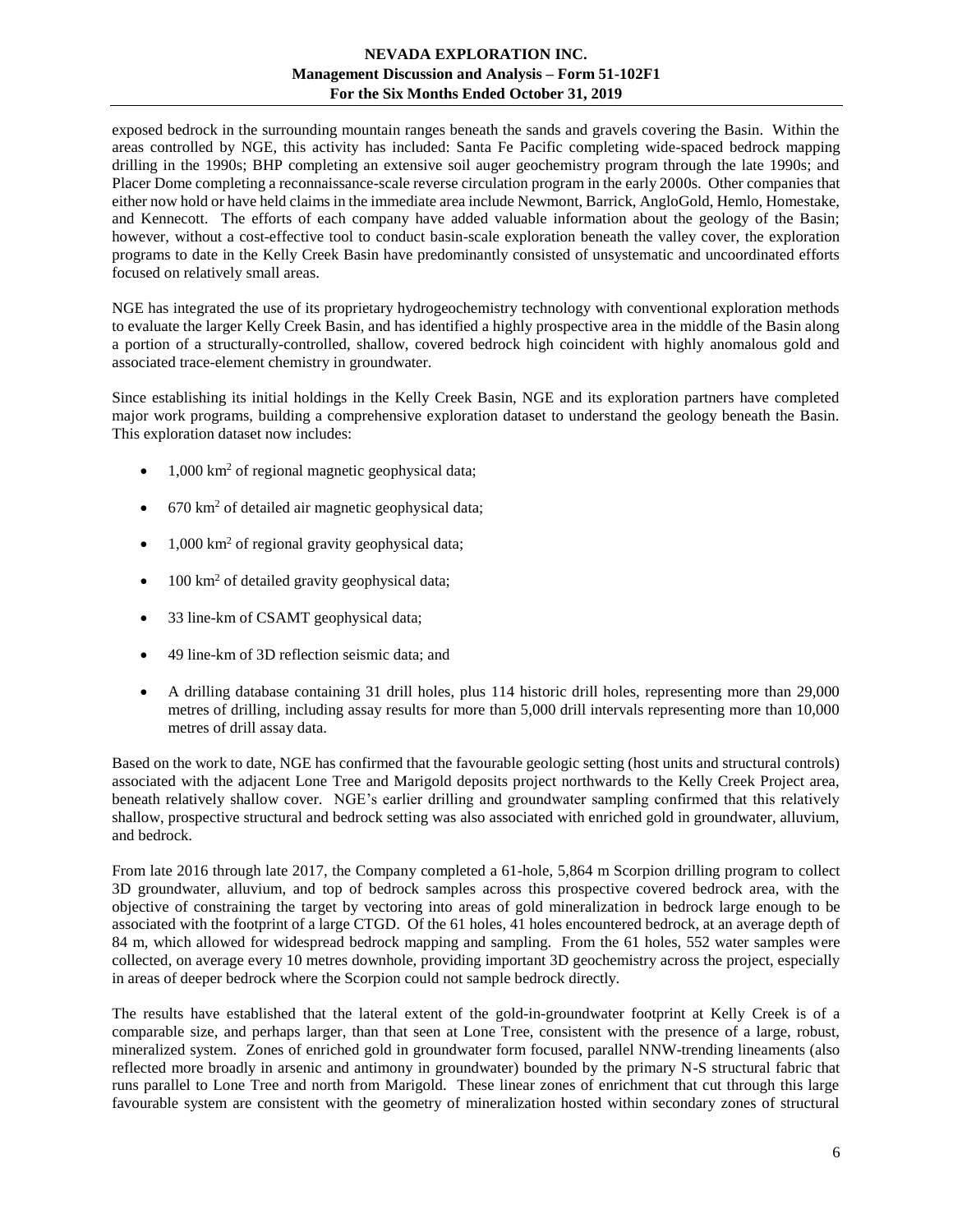exposed bedrock in the surrounding mountain ranges beneath the sands and gravels covering the Basin. Within the areas controlled by NGE, this activity has included: Santa Fe Pacific completing wide-spaced bedrock mapping drilling in the 1990s; BHP completing an extensive soil auger geochemistry program through the late 1990s; and Placer Dome completing a reconnaissance-scale reverse circulation program in the early 2000s. Other companies that either now hold or have held claims in the immediate area include Newmont, Barrick, AngloGold, Hemlo, Homestake, and Kennecott. The efforts of each company have added valuable information about the geology of the Basin; however, without a cost-effective tool to conduct basin-scale exploration beneath the valley cover, the exploration programs to date in the Kelly Creek Basin have predominantly consisted of unsystematic and uncoordinated efforts focused on relatively small areas.

NGE has integrated the use of its proprietary hydrogeochemistry technology with conventional exploration methods to evaluate the larger Kelly Creek Basin, and has identified a highly prospective area in the middle of the Basin along a portion of a structurally-controlled, shallow, covered bedrock high coincident with highly anomalous gold and associated trace-element chemistry in groundwater.

Since establishing its initial holdings in the Kelly Creek Basin, NGE and its exploration partners have completed major work programs, building a comprehensive exploration dataset to understand the geology beneath the Basin. This exploration dataset now includes:

- 1,000 km<sup>2</sup> of regional magnetic geophysical data;
- $\bullet$  670 km<sup>2</sup> of detailed air magnetic geophysical data;
- $1,000 \text{ km}^2$  of regional gravity geophysical data;
- 100 km<sup>2</sup> of detailed gravity geophysical data;
- 33 line-km of CSAMT geophysical data;
- 49 line-km of 3D reflection seismic data; and
- A drilling database containing 31 drill holes, plus 114 historic drill holes, representing more than 29,000 metres of drilling, including assay results for more than 5,000 drill intervals representing more than 10,000 metres of drill assay data.

Based on the work to date, NGE has confirmed that the favourable geologic setting (host units and structural controls) associated with the adjacent Lone Tree and Marigold deposits project northwards to the Kelly Creek Project area, beneath relatively shallow cover. NGE's earlier drilling and groundwater sampling confirmed that this relatively shallow, prospective structural and bedrock setting was also associated with enriched gold in groundwater, alluvium, and bedrock.

From late 2016 through late 2017, the Company completed a 61-hole, 5,864 m Scorpion drilling program to collect 3D groundwater, alluvium, and top of bedrock samples across this prospective covered bedrock area, with the objective of constraining the target by vectoring into areas of gold mineralization in bedrock large enough to be associated with the footprint of a large CTGD. Of the 61 holes, 41 holes encountered bedrock, at an average depth of 84 m, which allowed for widespread bedrock mapping and sampling. From the 61 holes, 552 water samples were collected, on average every 10 metres downhole, providing important 3D geochemistry across the project, especially in areas of deeper bedrock where the Scorpion could not sample bedrock directly.

The results have established that the lateral extent of the gold-in-groundwater footprint at Kelly Creek is of a comparable size, and perhaps larger, than that seen at Lone Tree, consistent with the presence of a large, robust, mineralized system. Zones of enriched gold in groundwater form focused, parallel NNW-trending lineaments (also reflected more broadly in arsenic and antimony in groundwater) bounded by the primary N-S structural fabric that runs parallel to Lone Tree and north from Marigold. These linear zones of enrichment that cut through this large favourable system are consistent with the geometry of mineralization hosted within secondary zones of structural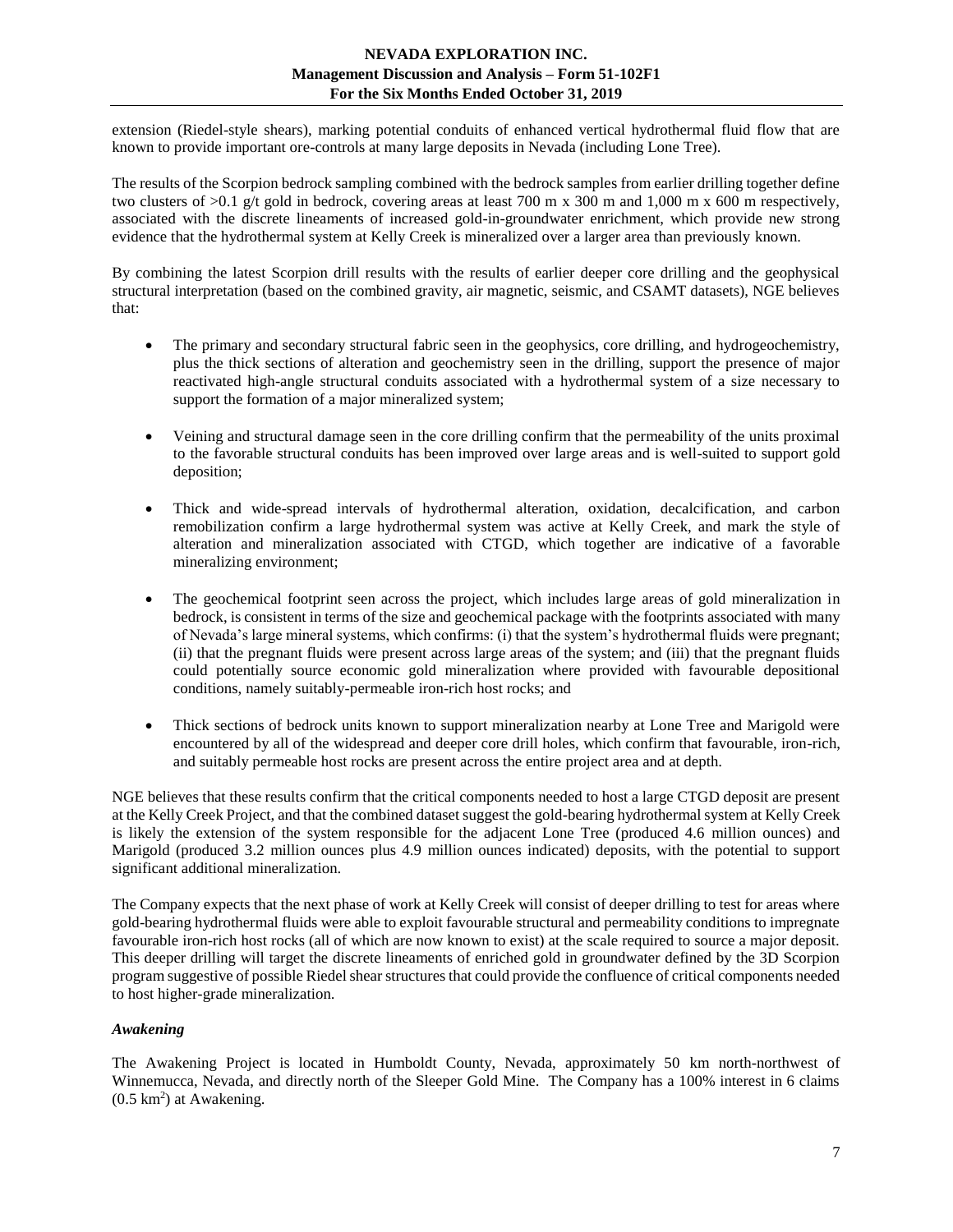extension (Riedel-style shears), marking potential conduits of enhanced vertical hydrothermal fluid flow that are known to provide important ore-controls at many large deposits in Nevada (including Lone Tree).

The results of the Scorpion bedrock sampling combined with the bedrock samples from earlier drilling together define two clusters of  $>0.1$  g/t gold in bedrock, covering areas at least 700 m x 300 m and 1,000 m x 600 m respectively. associated with the discrete lineaments of increased gold-in-groundwater enrichment, which provide new strong evidence that the hydrothermal system at Kelly Creek is mineralized over a larger area than previously known.

By combining the latest Scorpion drill results with the results of earlier deeper core drilling and the geophysical structural interpretation (based on the combined gravity, air magnetic, seismic, and CSAMT datasets), NGE believes that:

- The primary and secondary structural fabric seen in the geophysics, core drilling, and hydrogeochemistry, plus the thick sections of alteration and geochemistry seen in the drilling, support the presence of major reactivated high-angle structural conduits associated with a hydrothermal system of a size necessary to support the formation of a major mineralized system;
- Veining and structural damage seen in the core drilling confirm that the permeability of the units proximal to the favorable structural conduits has been improved over large areas and is well-suited to support gold deposition;
- Thick and wide-spread intervals of hydrothermal alteration, oxidation, decalcification, and carbon remobilization confirm a large hydrothermal system was active at Kelly Creek, and mark the style of alteration and mineralization associated with CTGD, which together are indicative of a favorable mineralizing environment;
- The geochemical footprint seen across the project, which includes large areas of gold mineralization in bedrock, is consistent in terms of the size and geochemical package with the footprints associated with many of Nevada's large mineral systems, which confirms: (i) that the system's hydrothermal fluids were pregnant; (ii) that the pregnant fluids were present across large areas of the system; and (iii) that the pregnant fluids could potentially source economic gold mineralization where provided with favourable depositional conditions, namely suitably-permeable iron-rich host rocks; and
- Thick sections of bedrock units known to support mineralization nearby at Lone Tree and Marigold were encountered by all of the widespread and deeper core drill holes, which confirm that favourable, iron-rich, and suitably permeable host rocks are present across the entire project area and at depth.

NGE believes that these results confirm that the critical components needed to host a large CTGD deposit are present at the Kelly Creek Project, and that the combined dataset suggest the gold-bearing hydrothermal system at Kelly Creek is likely the extension of the system responsible for the adjacent Lone Tree (produced 4.6 million ounces) and Marigold (produced 3.2 million ounces plus 4.9 million ounces indicated) deposits, with the potential to support significant additional mineralization.

The Company expects that the next phase of work at Kelly Creek will consist of deeper drilling to test for areas where gold-bearing hydrothermal fluids were able to exploit favourable structural and permeability conditions to impregnate favourable iron-rich host rocks (all of which are now known to exist) at the scale required to source a major deposit. This deeper drilling will target the discrete lineaments of enriched gold in groundwater defined by the 3D Scorpion program suggestive of possible Riedel shear structures that could provide the confluence of critical components needed to host higher-grade mineralization.

## <span id="page-6-0"></span>*Awakening*

The Awakening Project is located in Humboldt County, Nevada, approximately 50 km north-northwest of Winnemucca, Nevada, and directly north of the Sleeper Gold Mine. The Company has a 100% interest in 6 claims  $(0.5 \text{ km}^2)$  at Awakening.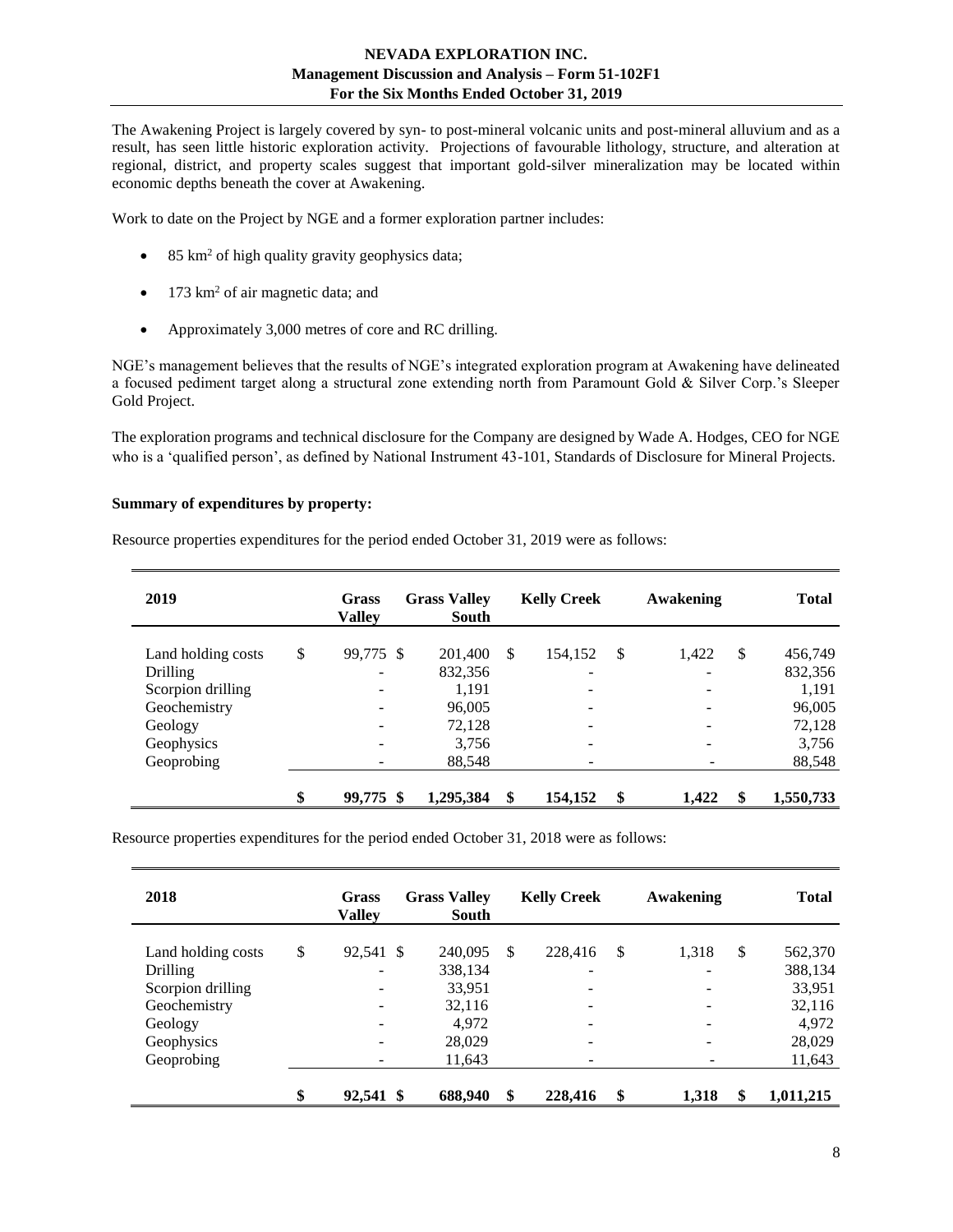The Awakening Project is largely covered by syn- to post-mineral volcanic units and post-mineral alluvium and as a result, has seen little historic exploration activity. Projections of favourable lithology, structure, and alteration at regional, district, and property scales suggest that important gold-silver mineralization may be located within economic depths beneath the cover at Awakening.

Work to date on the Project by NGE and a former exploration partner includes:

- 85 km<sup>2</sup> of high quality gravity geophysics data;
- 173 km<sup>2</sup> of air magnetic data; and
- Approximately 3,000 metres of core and RC drilling.

NGE's management believes that the results of NGE's integrated exploration program at Awakening have delineated a focused pediment target along a structural zone extending north from Paramount Gold & Silver Corp.'s Sleeper Gold Project.

The exploration programs and technical disclosure for the Company are designed by Wade A. Hodges, CEO for NGE who is a 'qualified person', as defined by National Instrument 43-101, Standards of Disclosure for Mineral Projects.

#### **Summary of expenditures by property:**

Resource properties expenditures for the period ended October 31, 2019 were as follows:

| 2019               | Grass<br><b>Valley</b>   | <b>Grass Valley</b><br><b>South</b> |    | <b>Kelly Creek</b>       |    | Awakening |               | <b>Total</b> |
|--------------------|--------------------------|-------------------------------------|----|--------------------------|----|-----------|---------------|--------------|
| Land holding costs | \$<br>99,775 \$          | 201,400                             | S  | 154,152                  | -S | 1,422     | $\mathcal{S}$ | 456,749      |
| <b>Drilling</b>    | $\overline{\phantom{a}}$ | 832,356                             |    | -                        |    |           |               | 832,356      |
| Scorpion drilling  | -                        | 1,191                               |    | $\overline{\phantom{a}}$ |    |           |               | 1,191        |
| Geochemistry       | $\overline{\phantom{a}}$ | 96,005                              |    | $\overline{\phantom{a}}$ |    |           |               | 96,005       |
| Geology            | $\overline{\phantom{a}}$ | 72,128                              |    | $\overline{\phantom{a}}$ |    |           |               | 72,128       |
| Geophysics         | -                        | 3,756                               |    | -                        |    |           |               | 3,756        |
| Geoprobing         | $\qquad \qquad$          | 88,548                              |    | -                        |    |           |               | 88,548       |
|                    | \$<br>99,775 \$          | 1,295,384                           | \$ | 154,152                  | \$ | 1,422     | \$            | 1,550,733    |

Resource properties expenditures for the period ended October 31, 2018 were as follows:

| 2018               | <b>Grass</b><br><b>Valley</b> | <b>Grass Valley</b><br>South |    | <b>Kelly Creek</b>       | Awakening   |               | <b>Total</b> |
|--------------------|-------------------------------|------------------------------|----|--------------------------|-------------|---------------|--------------|
| Land holding costs | \$<br>92,541 \$               | 240,095                      | -S | 228,416                  | \$<br>1,318 | $\mathcal{S}$ | 562,370      |
| <b>Drilling</b>    |                               | 338,134                      |    | -                        |             |               | 388,134      |
| Scorpion drilling  | $\overline{\phantom{0}}$      | 33,951                       |    | $\overline{\phantom{a}}$ |             |               | 33,951       |
| Geochemistry       | $\overline{\phantom{a}}$      | 32,116                       |    | -                        |             |               | 32,116       |
| Geology            |                               | 4,972                        |    |                          |             |               | 4,972        |
| Geophysics         |                               | 28,029                       |    | -                        |             |               | 28,029       |
| Geoprobing         |                               | 11,643                       |    |                          |             |               | 11,643       |
|                    | \$<br>92,541 \$               | 688,940                      | \$ | 228,416                  | \$<br>1,318 | \$            | 1,011,215    |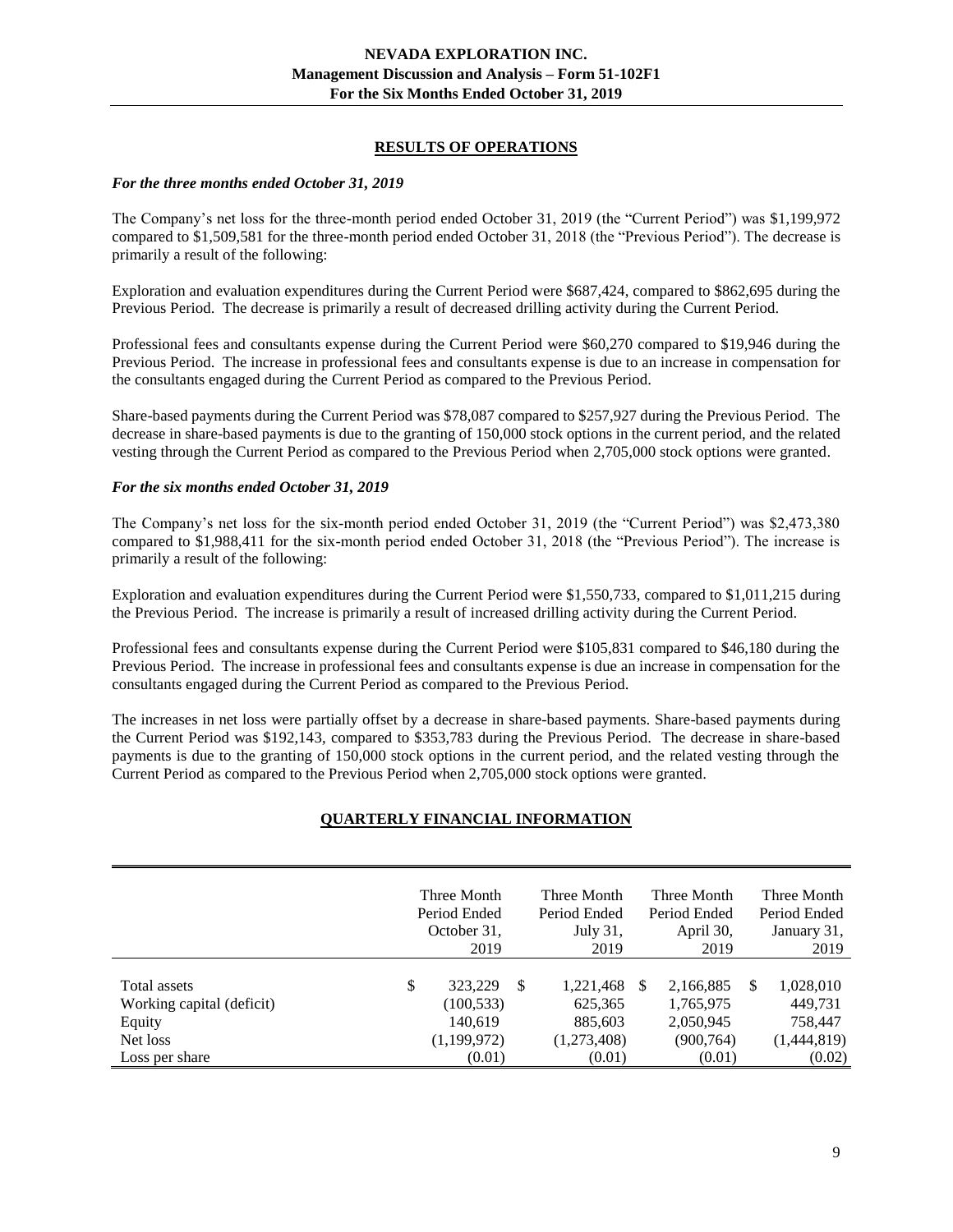## **RESULTS OF OPERATIONS**

#### <span id="page-8-0"></span>*For the three months ended October 31, 2019*

The Company's net loss for the three-month period ended October 31, 2019 (the "Current Period") was \$1,199,972 compared to \$1,509,581 for the three-month period ended October 31, 2018 (the "Previous Period"). The decrease is primarily a result of the following:

Exploration and evaluation expenditures during the Current Period were \$687,424, compared to \$862,695 during the Previous Period. The decrease is primarily a result of decreased drilling activity during the Current Period.

Professional fees and consultants expense during the Current Period were \$60,270 compared to \$19,946 during the Previous Period. The increase in professional fees and consultants expense is due to an increase in compensation for the consultants engaged during the Current Period as compared to the Previous Period.

Share-based payments during the Current Period was \$78,087 compared to \$257,927 during the Previous Period. The decrease in share-based payments is due to the granting of 150,000 stock options in the current period, and the related vesting through the Current Period as compared to the Previous Period when 2,705,000 stock options were granted.

#### *For the six months ended October 31, 2019*

The Company's net loss for the six-month period ended October 31, 2019 (the "Current Period") was \$2,473,380 compared to \$1,988,411 for the six-month period ended October 31, 2018 (the "Previous Period"). The increase is primarily a result of the following:

Exploration and evaluation expenditures during the Current Period were \$1,550,733, compared to \$1,011,215 during the Previous Period. The increase is primarily a result of increased drilling activity during the Current Period.

Professional fees and consultants expense during the Current Period were \$105,831 compared to \$46,180 during the Previous Period. The increase in professional fees and consultants expense is due an increase in compensation for the consultants engaged during the Current Period as compared to the Previous Period.

<span id="page-8-1"></span>The increases in net loss were partially offset by a decrease in share-based payments. Share-based payments during the Current Period was \$192,143, compared to \$353,783 during the Previous Period. The decrease in share-based payments is due to the granting of 150,000 stock options in the current period, and the related vesting through the Current Period as compared to the Previous Period when 2,705,000 stock options were granted.

## **QUARTERLY FINANCIAL INFORMATION**

|                                                                 | Three Month<br>Period Ended<br>October 31,<br>2019    |   | Three Month<br>Period Ended<br>July 31,<br>2019 |              | Three Month<br>Period Ended<br>April 30,<br>2019  |   | Three Month<br>Period Ended<br>January 31,<br>2019 |
|-----------------------------------------------------------------|-------------------------------------------------------|---|-------------------------------------------------|--------------|---------------------------------------------------|---|----------------------------------------------------|
| Total assets<br>Working capital (deficit)<br>Equity<br>Net loss | \$<br>323,229<br>(100, 533)<br>140.619<br>(1,199,972) | S | 1,221,468<br>625,365<br>885,603<br>(1,273,408)  | <sup>S</sup> | 2,166,885<br>1,765,975<br>2,050,945<br>(900, 764) | S | 1,028,010<br>449,731<br>758,447<br>(1,444,819)     |
| Loss per share                                                  | (0.01)                                                |   | (0.01)                                          |              | (0.01)                                            |   | (0.02)                                             |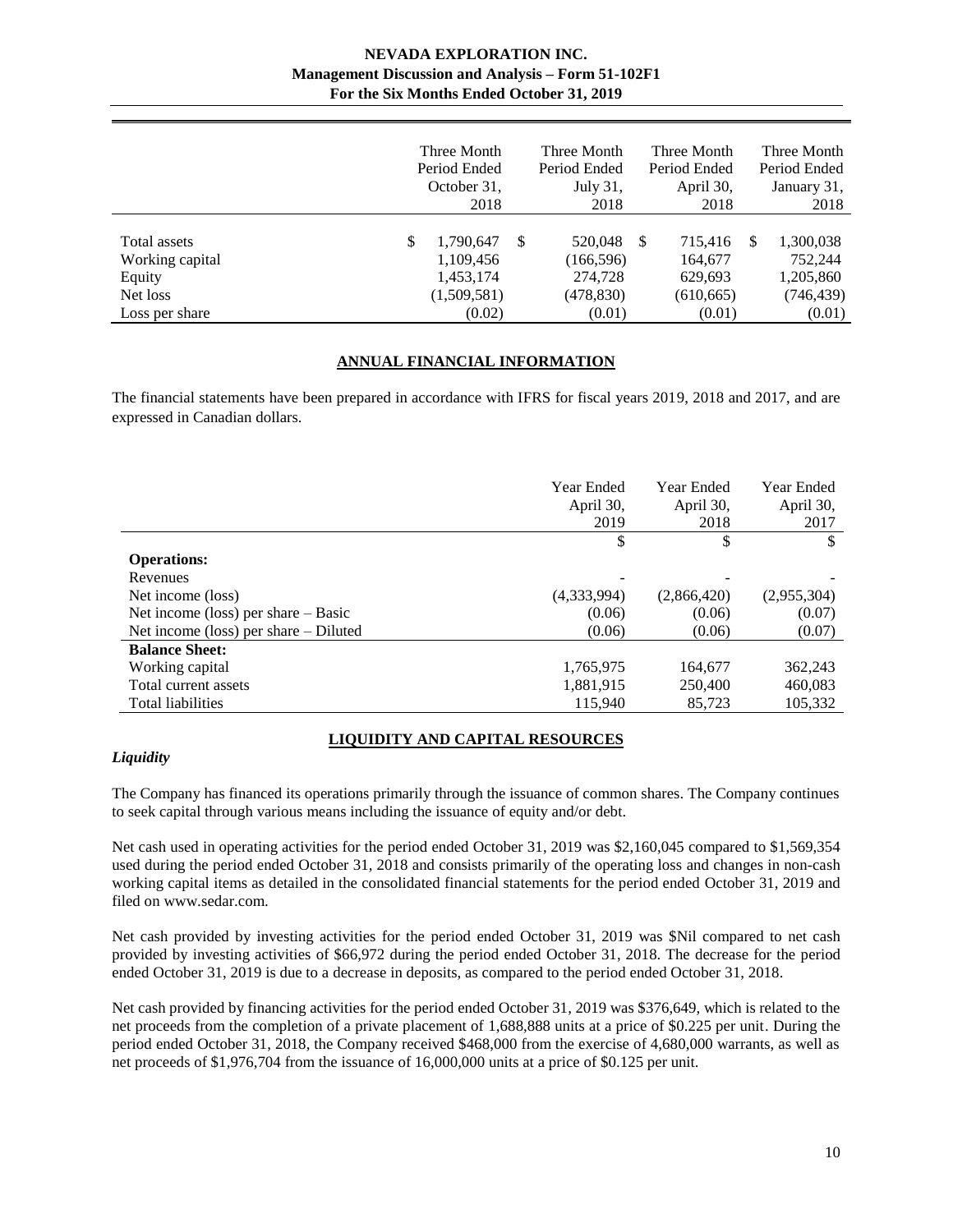|                                 | Three Month<br>Period Ended<br>October 31,<br>2018 |    | Three Month<br>Period Ended<br>July $31$ .<br>2018 |    | Three Month<br>Period Ended<br>April 30,<br>2018 |     | Three Month<br>Period Ended<br>January 31, |
|---------------------------------|----------------------------------------------------|----|----------------------------------------------------|----|--------------------------------------------------|-----|--------------------------------------------|
|                                 |                                                    |    |                                                    |    |                                                  |     | 2018                                       |
| Total assets<br>Working capital | \$<br>1,790,647<br>1,109,456                       | -S | 520,048<br>(166, 596)                              | -S | 715,416<br>164,677                               | \$. | 1,300,038<br>752,244                       |
| Equity                          | 1,453,174                                          |    | 274,728                                            |    | 629,693                                          |     | 1,205,860                                  |
| Net loss                        | (1,509,581)                                        |    | (478,830)                                          |    | (610, 665)                                       |     | (746, 439)                                 |
| Loss per share                  | (0.02)                                             |    | (0.01)                                             |    | (0.01)                                           |     | (0.01)                                     |

#### **ANNUAL FINANCIAL INFORMATION**

<span id="page-9-0"></span>The financial statements have been prepared in accordance with IFRS for fiscal years 2019, 2018 and 2017, and are expressed in Canadian dollars.

|                                         | <b>Year Ended</b><br>April 30, | Year Ended<br>April 30, | Year Ended<br>April 30, |
|-----------------------------------------|--------------------------------|-------------------------|-------------------------|
|                                         | 2019                           | 2018                    | 2017                    |
|                                         | \$                             | \$                      | \$                      |
| <b>Operations:</b>                      |                                |                         |                         |
| Revenues                                |                                |                         |                         |
| Net income (loss)                       | (4,333,994)                    | (2,866,420)             | (2,955,304)             |
| Net income (loss) per share $-$ Basic   | (0.06)                         | (0.06)                  | (0.07)                  |
| Net income (loss) per share $-$ Diluted | (0.06)                         | (0.06)                  | (0.07)                  |
| <b>Balance Sheet:</b>                   |                                |                         |                         |
| Working capital                         | 1,765,975                      | 164,677                 | 362,243                 |
| Total current assets                    | 1,881,915                      | 250,400                 | 460,083                 |
| <b>Total liabilities</b>                | 115,940                        | 85,723                  | 105,332                 |

# **LIQUIDITY AND CAPITAL RESOURCES**

## <span id="page-9-1"></span>*Liquidity*

The Company has financed its operations primarily through the issuance of common shares. The Company continues to seek capital through various means including the issuance of equity and/or debt.

Net cash used in operating activities for the period ended October 31, 2019 was \$2,160,045 compared to \$1,569,354 used during the period ended October 31, 2018 and consists primarily of the operating loss and changes in non-cash working capital items as detailed in the consolidated financial statements for the period ended October 31, 2019 and filed on www.sedar.com.

Net cash provided by investing activities for the period ended October 31, 2019 was \$Nil compared to net cash provided by investing activities of \$66,972 during the period ended October 31, 2018. The decrease for the period ended October 31, 2019 is due to a decrease in deposits, as compared to the period ended October 31, 2018.

Net cash provided by financing activities for the period ended October 31, 2019 was \$376,649, which is related to the net proceeds from the completion of a private placement of 1,688,888 units at a price of \$0.225 per unit. During the period ended October 31, 2018, the Company received \$468,000 from the exercise of 4,680,000 warrants, as well as net proceeds of \$1,976,704 from the issuance of 16,000,000 units at a price of \$0.125 per unit.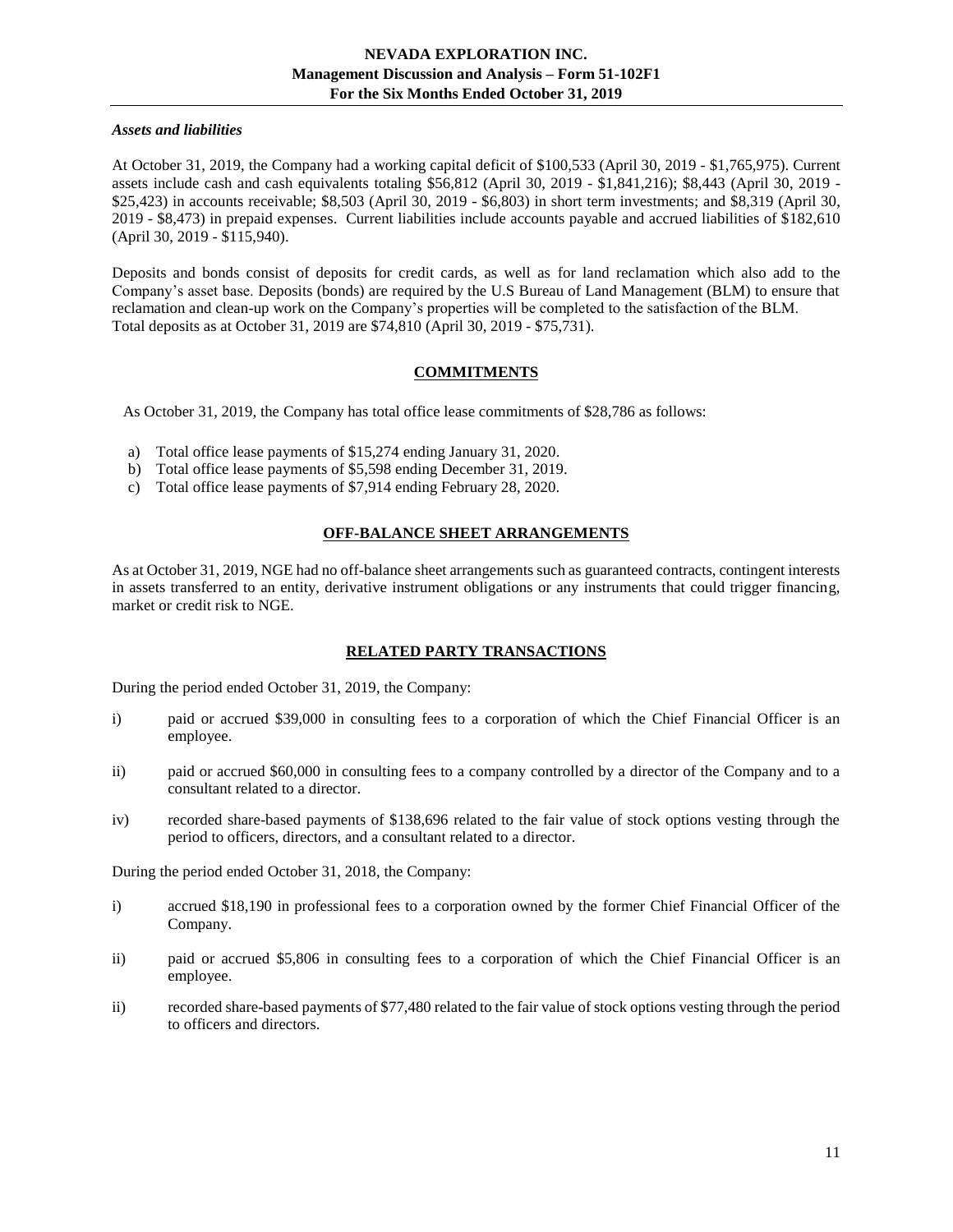#### *Assets and liabilities*

At October 31, 2019, the Company had a working capital deficit of \$100,533 (April 30, 2019 - \$1,765,975). Current assets include cash and cash equivalents totaling \$56,812 (April 30, 2019 - \$1,841,216); \$8,443 (April 30, 2019 - \$25,423) in accounts receivable; \$8,503 (April 30, 2019 - \$6,803) in short term investments; and \$8,319 (April 30, 2019 - \$8,473) in prepaid expenses. Current liabilities include accounts payable and accrued liabilities of \$182,610 (April 30, 2019 - \$115,940).

Deposits and bonds consist of deposits for credit cards, as well as for land reclamation which also add to the Company's asset base. Deposits (bonds) are required by the U.S Bureau of Land Management (BLM) to ensure that reclamation and clean-up work on the Company's properties will be completed to the satisfaction of the BLM. Total deposits as at October 31, 2019 are \$74,810 (April 30, 2019 - \$75,731).

# **COMMITMENTS**

<span id="page-10-0"></span>As October 31, 2019, the Company has total office lease commitments of \$28,786 as follows:

- a) Total office lease payments of \$15,274 ending January 31, 2020.
- b) Total office lease payments of \$5,598 ending December 31, 2019.
- <span id="page-10-1"></span>c) Total office lease payments of \$7,914 ending February 28, 2020.

# **OFF-BALANCE SHEET ARRANGEMENTS**

<span id="page-10-2"></span>As at October 31, 2019, NGE had no off-balance sheet arrangements such as guaranteed contracts, contingent interests in assets transferred to an entity, derivative instrument obligations or any instruments that could trigger financing, market or credit risk to NGE.

# **RELATED PARTY TRANSACTIONS**

During the period ended October 31, 2019, the Company:

- i) paid or accrued \$39,000 in consulting fees to a corporation of which the Chief Financial Officer is an employee.
- ii) paid or accrued \$60,000 in consulting fees to a company controlled by a director of the Company and to a consultant related to a director.
- iv) recorded share-based payments of \$138,696 related to the fair value of stock options vesting through the period to officers, directors, and a consultant related to a director.

During the period ended October 31, 2018, the Company:

- i) accrued \$18,190 in professional fees to a corporation owned by the former Chief Financial Officer of the Company.
- ii) paid or accrued \$5,806 in consulting fees to a corporation of which the Chief Financial Officer is an employee.
- ii) recorded share-based payments of \$77,480 related to the fair value of stock options vesting through the period to officers and directors.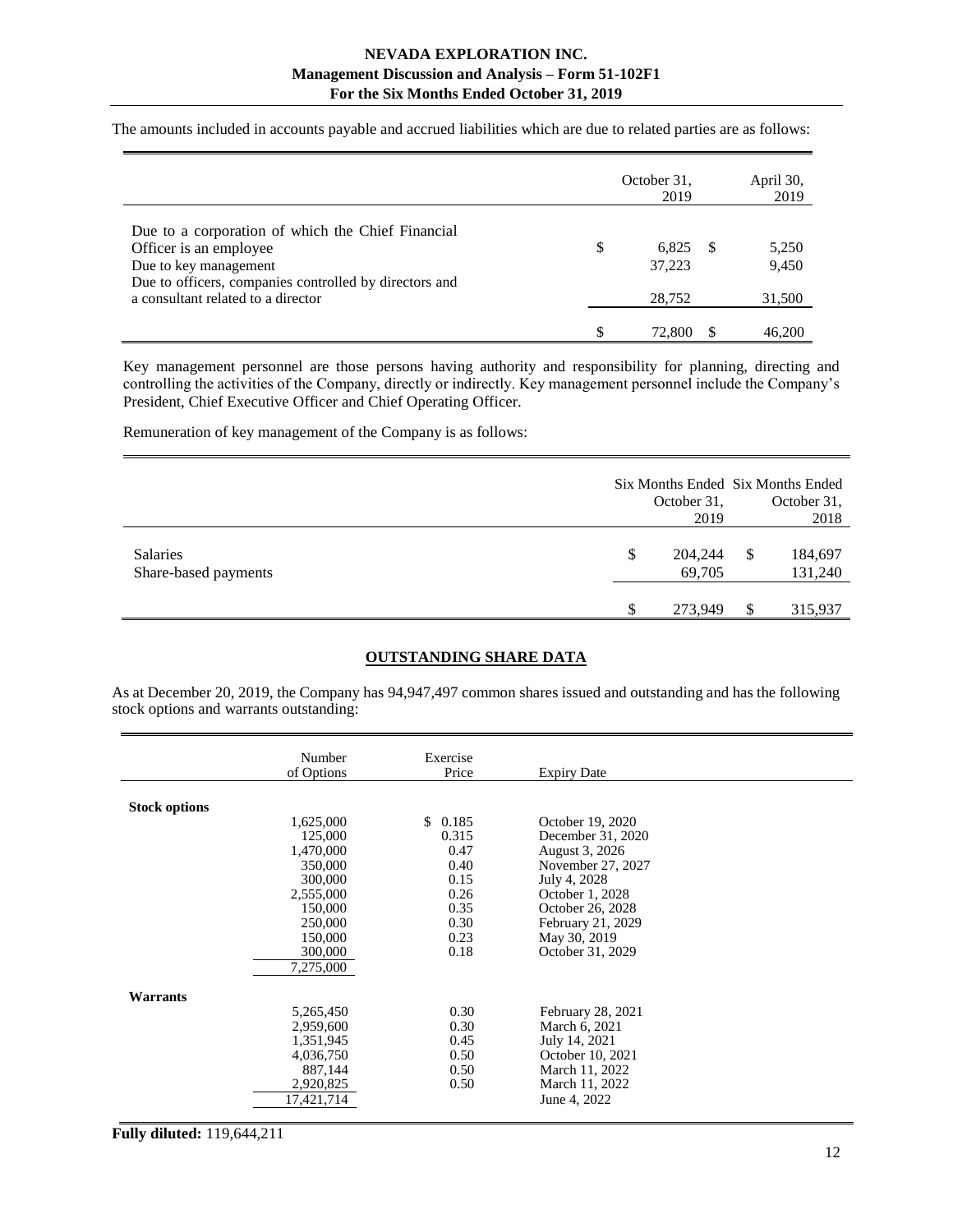The amounts included in accounts payable and accrued liabilities which are due to related parties are as follows:

|                                                                                                                                                                                                      | October 31,<br>2019             | April 30,<br>2019        |
|------------------------------------------------------------------------------------------------------------------------------------------------------------------------------------------------------|---------------------------------|--------------------------|
| Due to a corporation of which the Chief Financial<br>Officer is an employee<br>Due to key management<br>Due to officers, companies controlled by directors and<br>a consultant related to a director | \$<br>6,825<br>37,223<br>28,752 | 5,250<br>9,450<br>31,500 |
|                                                                                                                                                                                                      | 72.800                          | 46,200                   |

Key management personnel are those persons having authority and responsibility for planning, directing and controlling the activities of the Company, directly or indirectly. Key management personnel include the Company's President, Chief Executive Officer and Chief Operating Officer.

Remuneration of key management of the Company is as follows:

|                                         | October 31,<br>2019     |    | Six Months Ended Six Months Ended<br>October 31,<br>2018 |
|-----------------------------------------|-------------------------|----|----------------------------------------------------------|
| <b>Salaries</b><br>Share-based payments | \$<br>204,244<br>69,705 | S  | 184,697<br>131,240                                       |
|                                         | \$<br>273.949           | \$ | 315,937                                                  |

## **OUTSTANDING SHARE DATA**

<span id="page-11-0"></span>As at December 20, 2019, the Company has 94,947,497 common shares issued and outstanding and has the following stock options and warrants outstanding:

|                      | Number                                                                    | Exercise                             |                                                                                                        |  |
|----------------------|---------------------------------------------------------------------------|--------------------------------------|--------------------------------------------------------------------------------------------------------|--|
|                      | of Options                                                                | Price                                | <b>Expiry Date</b>                                                                                     |  |
|                      |                                                                           |                                      |                                                                                                        |  |
| <b>Stock options</b> |                                                                           |                                      |                                                                                                        |  |
|                      | 1,625,000                                                                 | 0.185<br>\$.                         | October 19, 2020                                                                                       |  |
|                      | 125,000                                                                   | 0.315                                | December 31, 2020                                                                                      |  |
|                      | 1,470,000                                                                 | 0.47                                 | August 3, 2026                                                                                         |  |
|                      | 350,000                                                                   | 0.40                                 | November 27, 2027                                                                                      |  |
|                      | 300,000                                                                   | 0.15                                 | July 4, 2028                                                                                           |  |
|                      | 2,555,000                                                                 | 0.26                                 | October 1, 2028                                                                                        |  |
|                      | 150,000                                                                   | 0.35                                 | October 26, 2028                                                                                       |  |
|                      | 250,000                                                                   | 0.30                                 | February 21, 2029                                                                                      |  |
|                      | 150,000                                                                   | 0.23                                 | May 30, 2019                                                                                           |  |
|                      | 300,000                                                                   | 0.18                                 | October 31, 2029                                                                                       |  |
|                      | 7,275,000                                                                 |                                      |                                                                                                        |  |
|                      |                                                                           |                                      |                                                                                                        |  |
| Warrants             |                                                                           |                                      |                                                                                                        |  |
|                      | 5,265,450                                                                 | 0.30                                 | February 28, 2021                                                                                      |  |
|                      |                                                                           |                                      |                                                                                                        |  |
|                      |                                                                           |                                      |                                                                                                        |  |
|                      |                                                                           |                                      |                                                                                                        |  |
|                      |                                                                           |                                      |                                                                                                        |  |
|                      |                                                                           |                                      |                                                                                                        |  |
|                      |                                                                           |                                      |                                                                                                        |  |
|                      |                                                                           |                                      |                                                                                                        |  |
|                      | 2,959,600<br>1,351,945<br>4,036,750<br>887,144<br>2,920,825<br>17.421.714 | 0.30<br>0.45<br>0.50<br>0.50<br>0.50 | March 6, 2021<br>July 14, 2021<br>October 10, 2021<br>March 11, 2022<br>March 11, 2022<br>June 4, 2022 |  |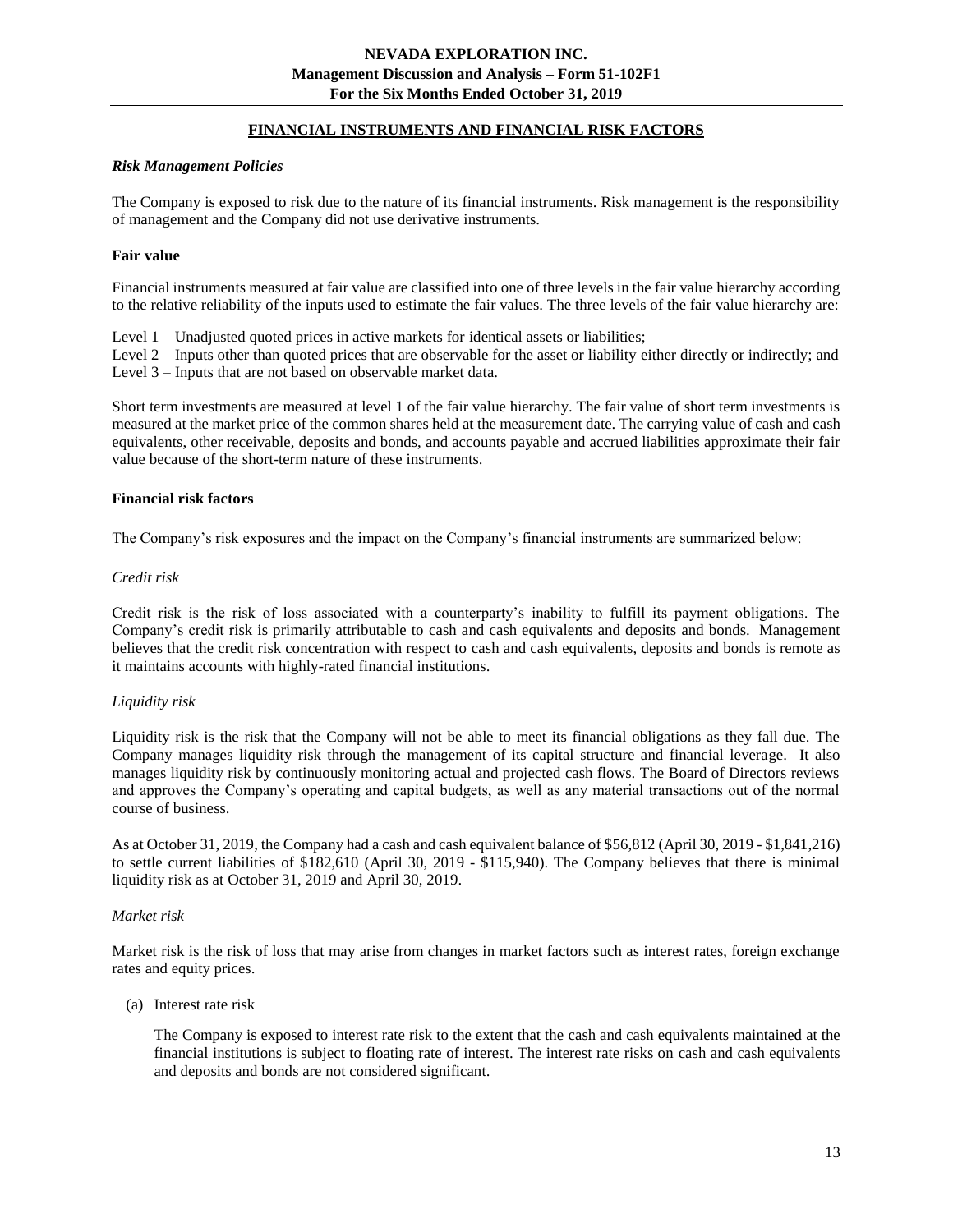## **FINANCIAL INSTRUMENTS AND FINANCIAL RISK FACTORS**

#### <span id="page-12-0"></span>*Risk Management Policies*

The Company is exposed to risk due to the nature of its financial instruments. Risk management is the responsibility of management and the Company did not use derivative instruments.

#### **Fair value**

Financial instruments measured at fair value are classified into one of three levels in the fair value hierarchy according to the relative reliability of the inputs used to estimate the fair values. The three levels of the fair value hierarchy are:

Level 1 – Unadjusted quoted prices in active markets for identical assets or liabilities;

Level 2 – Inputs other than quoted prices that are observable for the asset or liability either directly or indirectly; and Level 3 – Inputs that are not based on observable market data.

Short term investments are measured at level 1 of the fair value hierarchy. The fair value of short term investments is measured at the market price of the common shares held at the measurement date. The carrying value of cash and cash equivalents, other receivable, deposits and bonds, and accounts payable and accrued liabilities approximate their fair value because of the short-term nature of these instruments.

#### **Financial risk factors**

The Company's risk exposures and the impact on the Company's financial instruments are summarized below:

#### *Credit risk*

Credit risk is the risk of loss associated with a counterparty's inability to fulfill its payment obligations. The Company's credit risk is primarily attributable to cash and cash equivalents and deposits and bonds. Management believes that the credit risk concentration with respect to cash and cash equivalents, deposits and bonds is remote as it maintains accounts with highly-rated financial institutions.

## *Liquidity risk*

Liquidity risk is the risk that the Company will not be able to meet its financial obligations as they fall due. The Company manages liquidity risk through the management of its capital structure and financial leverage. It also manages liquidity risk by continuously monitoring actual and projected cash flows. The Board of Directors reviews and approves the Company's operating and capital budgets, as well as any material transactions out of the normal course of business.

As at October 31, 2019, the Company had a cash and cash equivalent balance of \$56,812 (April 30, 2019 - \$1,841,216) to settle current liabilities of \$182,610 (April 30, 2019 - \$115,940). The Company believes that there is minimal liquidity risk as at October 31, 2019 and April 30, 2019.

## *Market risk*

Market risk is the risk of loss that may arise from changes in market factors such as interest rates, foreign exchange rates and equity prices.

(a) Interest rate risk

The Company is exposed to interest rate risk to the extent that the cash and cash equivalents maintained at the financial institutions is subject to floating rate of interest. The interest rate risks on cash and cash equivalents and deposits and bonds are not considered significant.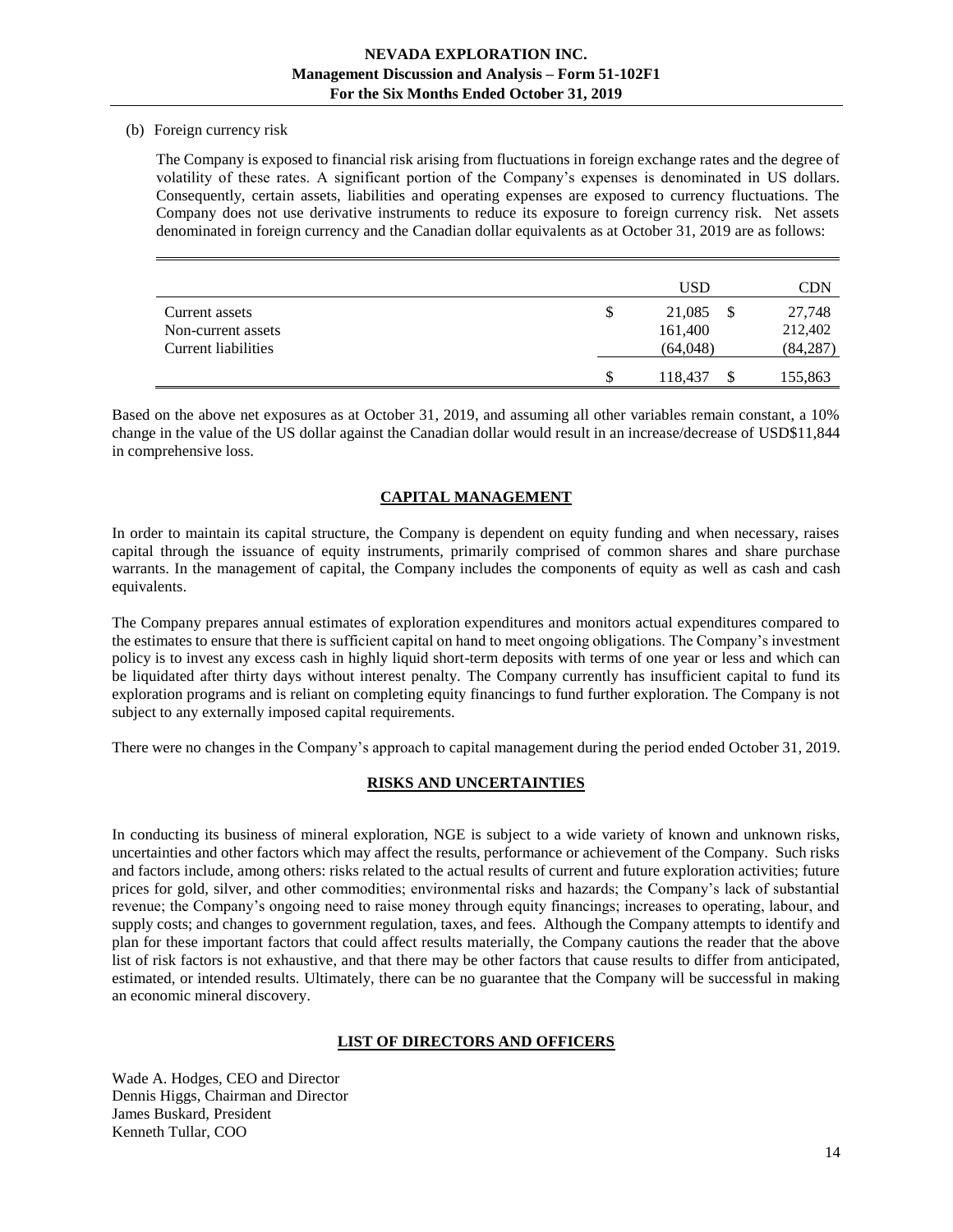#### (b) Foreign currency risk

The Company is exposed to financial risk arising from fluctuations in foreign exchange rates and the degree of volatility of these rates. A significant portion of the Company's expenses is denominated in US dollars. Consequently, certain assets, liabilities and operating expenses are exposed to currency fluctuations. The Company does not use derivative instruments to reduce its exposure to foreign currency risk. Net assets denominated in foreign currency and the Canadian dollar equivalents as at October 31, 2019 are as follows:

|                     |   | <b>USD</b> | CDN       |
|---------------------|---|------------|-----------|
| Current assets      | S | 21,085     | 27,748    |
| Non-current assets  |   | 161,400    | 212,402   |
| Current liabilities |   | (64,048)   | (84, 287) |
|                     |   | 118,437    | 155,863   |

<span id="page-13-0"></span>Based on the above net exposures as at October 31, 2019, and assuming all other variables remain constant, a 10% change in the value of the US dollar against the Canadian dollar would result in an increase/decrease of USD\$11,844 in comprehensive loss.

# **CAPITAL MANAGEMENT**

In order to maintain its capital structure, the Company is dependent on equity funding and when necessary, raises capital through the issuance of equity instruments, primarily comprised of common shares and share purchase warrants. In the management of capital, the Company includes the components of equity as well as cash and cash equivalents.

The Company prepares annual estimates of exploration expenditures and monitors actual expenditures compared to the estimates to ensure that there is sufficient capital on hand to meet ongoing obligations. The Company's investment policy is to invest any excess cash in highly liquid short-term deposits with terms of one year or less and which can be liquidated after thirty days without interest penalty. The Company currently has insufficient capital to fund its exploration programs and is reliant on completing equity financings to fund further exploration. The Company is not subject to any externally imposed capital requirements.

<span id="page-13-1"></span>There were no changes in the Company's approach to capital management during the period ended October 31, 2019.

# **RISKS AND UNCERTAINTIES**

In conducting its business of mineral exploration, NGE is subject to a wide variety of known and unknown risks, uncertainties and other factors which may affect the results, performance or achievement of the Company. Such risks and factors include, among others: risks related to the actual results of current and future exploration activities; future prices for gold, silver, and other commodities; environmental risks and hazards; the Company's lack of substantial revenue; the Company's ongoing need to raise money through equity financings; increases to operating, labour, and supply costs; and changes to government regulation, taxes, and fees. Although the Company attempts to identify and plan for these important factors that could affect results materially, the Company cautions the reader that the above list of risk factors is not exhaustive, and that there may be other factors that cause results to differ from anticipated, estimated, or intended results. Ultimately, there can be no guarantee that the Company will be successful in making an economic mineral discovery.

## **LIST OF DIRECTORS AND OFFICERS**

<span id="page-13-2"></span>Wade A. Hodges, CEO and Director Dennis Higgs, Chairman and Director James Buskard, President Kenneth Tullar, COO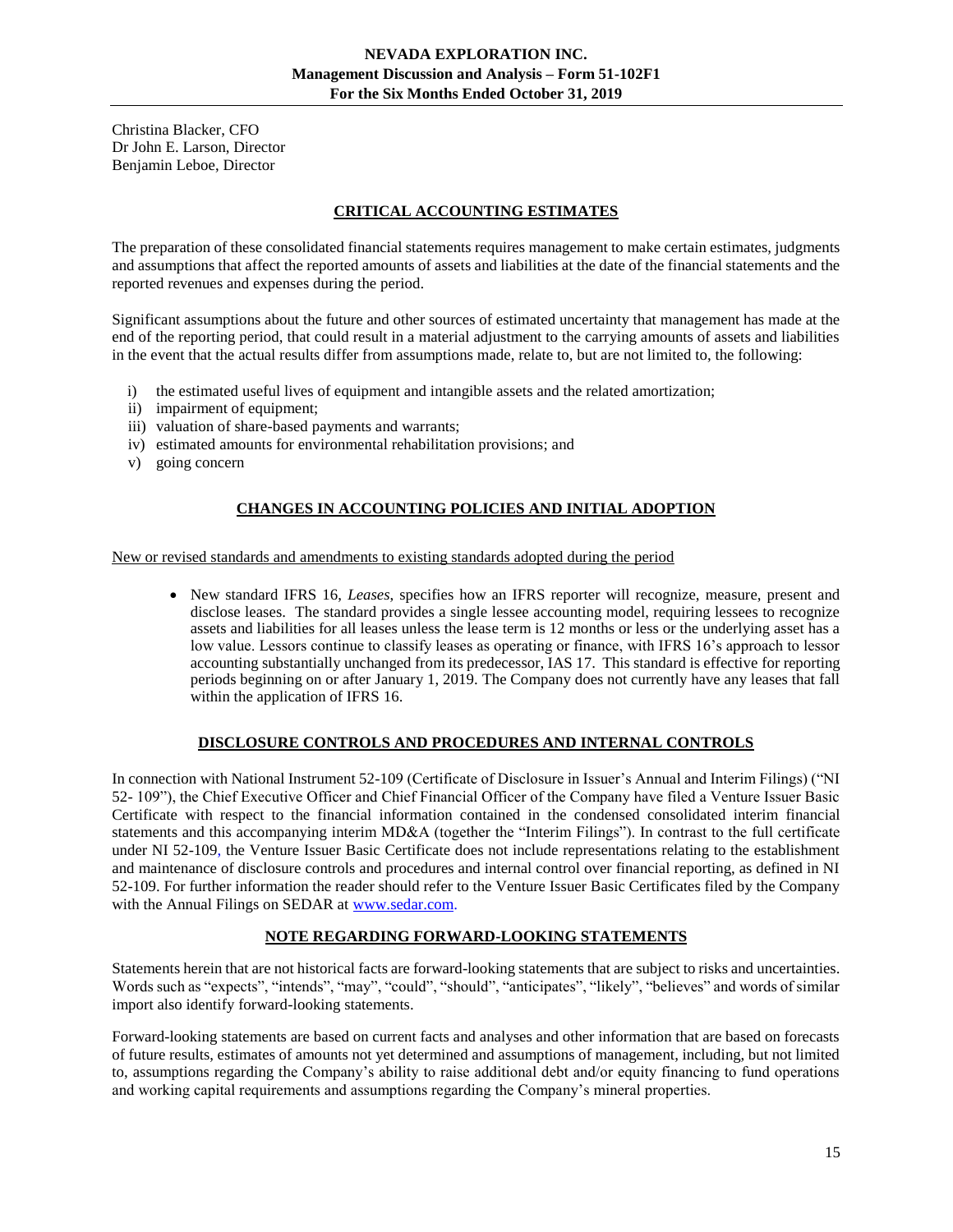<span id="page-14-0"></span>Christina Blacker, CFO Dr John E. Larson, Director Benjamin Leboe, Director

# **CRITICAL ACCOUNTING ESTIMATES**

The preparation of these consolidated financial statements requires management to make certain estimates, judgments and assumptions that affect the reported amounts of assets and liabilities at the date of the financial statements and the reported revenues and expenses during the period.

Significant assumptions about the future and other sources of estimated uncertainty that management has made at the end of the reporting period, that could result in a material adjustment to the carrying amounts of assets and liabilities in the event that the actual results differ from assumptions made, relate to, but are not limited to, the following:

- i) the estimated useful lives of equipment and intangible assets and the related amortization;
- ii) impairment of equipment;
- iii) valuation of share-based payments and warrants;
- iv) estimated amounts for environmental rehabilitation provisions; and
- <span id="page-14-1"></span>v) going concern

## **CHANGES IN ACCOUNTING POLICIES AND INITIAL ADOPTION**

New or revised standards and amendments to existing standards adopted during the period

• New standard IFRS 16, *Leases*, specifies how an IFRS reporter will recognize, measure, present and disclose leases. The standard provides a single lessee accounting model, requiring lessees to recognize assets and liabilities for all leases unless the lease term is 12 months or less or the underlying asset has a low value. Lessors continue to classify leases as operating or finance, with IFRS 16's approach to lessor accounting substantially unchanged from its predecessor, IAS 17. This standard is effective for reporting periods beginning on or after January 1, 2019. The Company does not currently have any leases that fall within the application of IFRS 16.

#### **DISCLOSURE CONTROLS AND PROCEDURES AND INTERNAL CONTROLS**

<span id="page-14-2"></span>In connection with National Instrument 52-109 (Certificate of Disclosure in Issuer's Annual and Interim Filings) ("NI 52- 109"), the Chief Executive Officer and Chief Financial Officer of the Company have filed a Venture Issuer Basic Certificate with respect to the financial information contained in the condensed consolidated interim financial statements and this accompanying interim MD&A (together the "Interim Filings"). In contrast to the full certificate under NI 52-109, the Venture Issuer Basic Certificate does not include representations relating to the establishment and maintenance of disclosure controls and procedures and internal control over financial reporting, as defined in NI 52-109. For further information the reader should refer to the Venture Issuer Basic Certificates filed by the Company with the Annual Filings on SEDAR a[t www.sedar.com.](http://www.sedar.com/)

## **NOTE REGARDING FORWARD-LOOKING STATEMENTS**

Statements herein that are not historical facts are forward-looking statements that are subject to risks and uncertainties. Words such as "expects", "intends", "may", "could", "should", "anticipates", "likely", "believes" and words of similar import also identify forward-looking statements.

Forward-looking statements are based on current facts and analyses and other information that are based on forecasts of future results, estimates of amounts not yet determined and assumptions of management, including, but not limited to, assumptions regarding the Company's ability to raise additional debt and/or equity financing to fund operations and working capital requirements and assumptions regarding the Company's mineral properties.